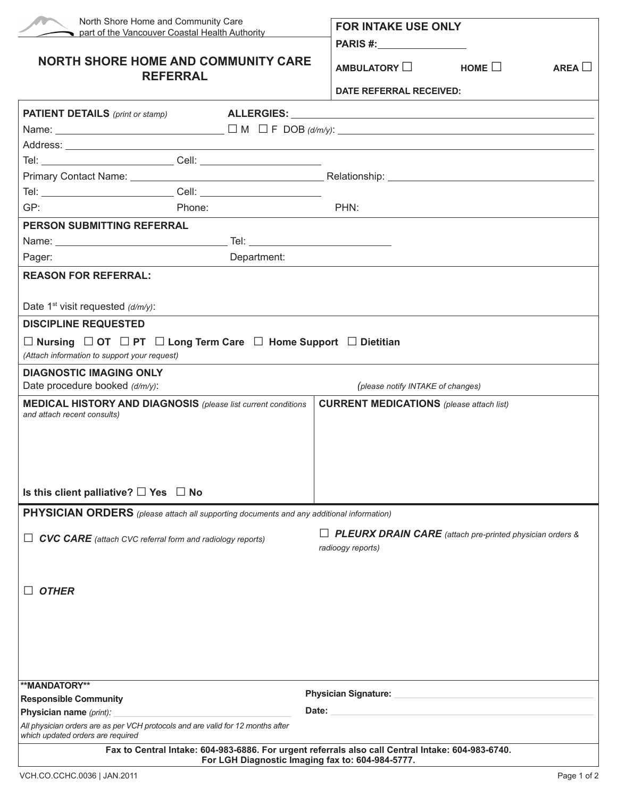| North Shore Home and Community Care<br>part of the Vancouver Coastal Health Authority                                                                 |                                                 | <b>FOR INTAKE USE ONLY</b>                                                                                                                                                                                                     |                                                    |               |
|-------------------------------------------------------------------------------------------------------------------------------------------------------|-------------------------------------------------|--------------------------------------------------------------------------------------------------------------------------------------------------------------------------------------------------------------------------------|----------------------------------------------------|---------------|
| <b>NORTH SHORE HOME AND COMMUNITY CARE</b><br><b>REFERRAL</b>                                                                                         |                                                 | $\Box$ AMBULATORY $\Box$ HOME $\Box$                                                                                                                                                                                           |                                                    | AREA <b>I</b> |
|                                                                                                                                                       |                                                 | DATE REFERRAL RECEIVED:                                                                                                                                                                                                        |                                                    |               |
| <b>PATIENT DETAILS</b> (print or stamp)                                                                                                               |                                                 |                                                                                                                                                                                                                                |                                                    |               |
|                                                                                                                                                       |                                                 |                                                                                                                                                                                                                                |                                                    |               |
|                                                                                                                                                       |                                                 |                                                                                                                                                                                                                                |                                                    |               |
|                                                                                                                                                       |                                                 |                                                                                                                                                                                                                                |                                                    |               |
|                                                                                                                                                       |                                                 |                                                                                                                                                                                                                                |                                                    |               |
|                                                                                                                                                       |                                                 |                                                                                                                                                                                                                                |                                                    |               |
| GP:<br>Phone:                                                                                                                                         |                                                 | PHN:                                                                                                                                                                                                                           |                                                    |               |
| <b>PERSON SUBMITTING REFERRAL</b>                                                                                                                     |                                                 |                                                                                                                                                                                                                                |                                                    |               |
|                                                                                                                                                       |                                                 |                                                                                                                                                                                                                                |                                                    |               |
| Pager:                                                                                                                                                | Department:                                     |                                                                                                                                                                                                                                |                                                    |               |
| <b>REASON FOR REFERRAL:</b>                                                                                                                           |                                                 |                                                                                                                                                                                                                                |                                                    |               |
|                                                                                                                                                       |                                                 |                                                                                                                                                                                                                                |                                                    |               |
| Date 1 <sup>st</sup> visit requested $(d/m/y)$ :                                                                                                      |                                                 |                                                                                                                                                                                                                                |                                                    |               |
| <b>DISCIPLINE REQUESTED</b>                                                                                                                           |                                                 |                                                                                                                                                                                                                                |                                                    |               |
| $\Box$ Nursing $\Box$ OT $\Box$ PT $\Box$ Long Term Care $\Box$ Home Support $\Box$ Dietitian                                                         |                                                 |                                                                                                                                                                                                                                |                                                    |               |
| (Attach information to support your request)                                                                                                          |                                                 |                                                                                                                                                                                                                                |                                                    |               |
| <b>DIAGNOSTIC IMAGING ONLY</b>                                                                                                                        |                                                 |                                                                                                                                                                                                                                |                                                    |               |
| Date procedure booked (d/m/y):<br>(please notify INTAKE of changes)                                                                                   |                                                 |                                                                                                                                                                                                                                |                                                    |               |
| <b>MEDICAL HISTORY AND DIAGNOSIS</b> (please list current conditions<br>and attach recent consults)                                                   | <b>CURRENT MEDICATIONS</b> (please attach list) |                                                                                                                                                                                                                                |                                                    |               |
|                                                                                                                                                       |                                                 |                                                                                                                                                                                                                                |                                                    |               |
|                                                                                                                                                       |                                                 |                                                                                                                                                                                                                                |                                                    |               |
|                                                                                                                                                       |                                                 |                                                                                                                                                                                                                                |                                                    |               |
|                                                                                                                                                       |                                                 |                                                                                                                                                                                                                                |                                                    |               |
| Is this client palliative? $\Box$ Yes $\Box$ No                                                                                                       |                                                 |                                                                                                                                                                                                                                |                                                    |               |
| <b>PHYSICIAN ORDERS</b> (please attach all supporting documents and any additional information)                                                       |                                                 |                                                                                                                                                                                                                                |                                                    |               |
|                                                                                                                                                       |                                                 | $\Box$ <b>PLEURX DRAIN CARE</b> (attach pre-printed physician orders &                                                                                                                                                         |                                                    |               |
| <b>CVC CARE</b> (attach CVC referral form and radiology reports)<br>ப                                                                                 |                                                 | radioogy reports)                                                                                                                                                                                                              |                                                    |               |
|                                                                                                                                                       |                                                 |                                                                                                                                                                                                                                |                                                    |               |
|                                                                                                                                                       |                                                 |                                                                                                                                                                                                                                |                                                    |               |
| <b>OTHER</b>                                                                                                                                          |                                                 |                                                                                                                                                                                                                                |                                                    |               |
|                                                                                                                                                       |                                                 |                                                                                                                                                                                                                                |                                                    |               |
|                                                                                                                                                       |                                                 |                                                                                                                                                                                                                                |                                                    |               |
|                                                                                                                                                       |                                                 |                                                                                                                                                                                                                                |                                                    |               |
|                                                                                                                                                       |                                                 |                                                                                                                                                                                                                                |                                                    |               |
|                                                                                                                                                       |                                                 |                                                                                                                                                                                                                                |                                                    |               |
| <b>Responsible Community</b>                                                                                                                          | <b>**MANDATORY**</b>                            |                                                                                                                                                                                                                                | Physician Signature: National Physician Signature: |               |
| Physician name (print):                                                                                                                               |                                                 | Date: the contract of the contract of the contract of the contract of the contract of the contract of the contract of the contract of the contract of the contract of the contract of the contract of the contract of the cont |                                                    |               |
| All physician orders are as per VCH protocols and are valid for 12 months after<br>which updated orders are required                                  |                                                 |                                                                                                                                                                                                                                |                                                    |               |
| Fax to Central Intake: 604-983-6886. For urgent referrals also call Central Intake: 604-983-6740.<br>For LGH Diagnostic Imaging fax to: 604-984-5777. |                                                 |                                                                                                                                                                                                                                |                                                    |               |
|                                                                                                                                                       |                                                 |                                                                                                                                                                                                                                |                                                    |               |